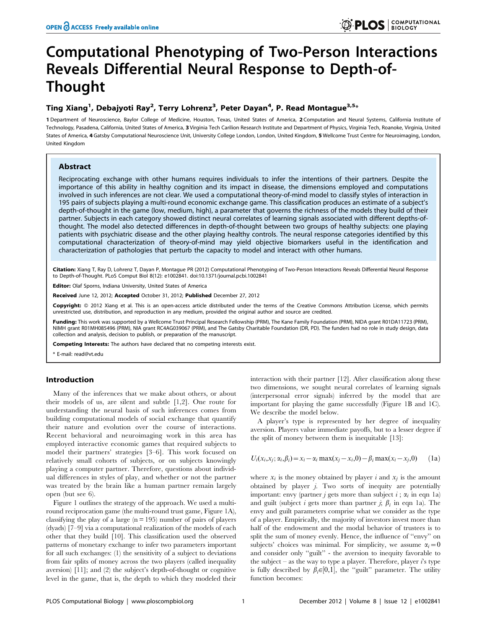# Computational Phenotyping of Two-Person Interactions Reveals Differential Neural Response to Depth-of-Thought

## Ting Xiang<sup>1</sup>, Debajyoti Ray<sup>2</sup>, Terry Lohrenz<sup>3</sup>, Peter Dayan<sup>4</sup>, P. Read Montague<sup>3,5</sup>\*

1 Department of Neuroscience, Baylor College of Medicine, Houston, Texas, United States of America, 2 Computation and Neural Systems, California Institute of Technology, Pasadena, California, United States of America, 3 Virginia Tech Carilion Research Institute and Department of Physics, Virginia Tech, Roanoke, Virginia, United States of America, 4 Gatsby Computational Neuroscience Unit, University College London, London, United Kingdom, 5 Wellcome Trust Centre for Neuroimaging, London, United Kingdom

## Abstract

Reciprocating exchange with other humans requires individuals to infer the intentions of their partners. Despite the importance of this ability in healthy cognition and its impact in disease, the dimensions employed and computations involved in such inferences are not clear. We used a computational theory-of-mind model to classify styles of interaction in 195 pairs of subjects playing a multi-round economic exchange game. This classification produces an estimate of a subject's depth-of-thought in the game (low, medium, high), a parameter that governs the richness of the models they build of their partner. Subjects in each category showed distinct neural correlates of learning signals associated with different depths-ofthought. The model also detected differences in depth-of-thought between two groups of healthy subjects: one playing patients with psychiatric disease and the other playing healthy controls. The neural response categories identified by this computational characterization of theory-of-mind may yield objective biomarkers useful in the identification and characterization of pathologies that perturb the capacity to model and interact with other humans.

Citation: Xiang T, Ray D, Lohrenz T, Dayan P, Montague PR (2012) Computational Phenotyping of Two-Person Interactions Reveals Differential Neural Response to Depth-of-Thought. PLoS Comput Biol 8(12): e1002841. doi:10.1371/journal.pcbi.1002841

Editor: Olaf Sporns, Indiana University, United States of America

Received June 12, 2012; Accepted October 31, 2012; Published December 27, 2012

Copyright: © 2012 Xiang et al. This is an open-access article distributed under the terms of the Creative Commons Attribution License, which permits unrestricted use, distribution, and reproduction in any medium, provided the original author and source are credited.

Funding: This work was supported by a Wellcome Trust Principal Research Fellowship (PRM), The Kane Family Foundation (PRM), NIDA grant R01DA11723 (PRM), NIMH grant R01MH085496 (PRM), NIA grant RC4AG039067 (PRM), and The Gatsby Charitable Foundation (DR, PD). The funders had no role in study design, data collection and analysis, decision to publish, or preparation of the manuscript.

Competing Interests: The authors have declared that no competing interests exist.

\* E-mail: read@vt.edu

## Introduction

Many of the inferences that we make about others, or about their models of us, are silent and subtle [1,2]. One route for understanding the neural basis of such inferences comes from building computational models of social exchange that quantify their nature and evolution over the course of interactions. Recent behavioral and neuroimaging work in this area has employed interactive economic games that required subjects to model their partners' strategies [3–6]. This work focused on relatively small cohorts of subjects, or on subjects knowingly playing a computer partner. Therefore, questions about individual differences in styles of play, and whether or not the partner was treated by the brain like a human partner remain largely open (but see 6).

Figure 1 outlines the strategy of the approach. We used a multiround reciprocation game (the multi-round trust game, Figure 1A), classifying the play of a large  $(n = 195)$  number of pairs of players (dyads) [7–9] via a computational realization of the models of each other that they build [10]. This classification used the observed patterns of monetary exchange to infer two parameters important for all such exchanges: (1) the sensitivity of a subject to deviations from fair splits of money across the two players (called inequality aversion) [11]; and (2) the subject's depth-of-thought or cognitive level in the game, that is, the depth to which they modeled their

interaction with their partner [12]. After classification along these two dimensions, we sought neural correlates of learning signals (interpersonal error signals) inferred by the model that are important for playing the game successfully (Figure 1B and 1C). We describe the model below.

A player's type is represented by her degree of inequality aversion. Players value immediate payoffs, but to a lesser degree if the split of money between them is inequitable [13]:

$$
U_i(x_i, x_j; \alpha_i, \beta_i) = x_i - \alpha_i \max(x_j - x_i, 0) - \beta_i \max(x_i - x_j, 0)
$$
 (1a)

where  $x_i$  is the money obtained by player i and  $x_i$  is the amount obtained by player  $j$ . Two sorts of inequity are potentially important: envy (partner *j* gets more than subject *i* ;  $\alpha_i$  in eqn 1a) and guilt (subject *i* gets more than partner *j*;  $\beta_i$  in eqn 1a). The envy and guilt parameters comprise what we consider as the type of a player. Empirically, the majority of investors invest more than half of the endowment and the modal behavior of trustees is to split the sum of money evenly. Hence, the influence of ''envy'' on subjects' choices was minimal. For simplicity, we assume  $\alpha_i=0$ and consider only ''guilt'' - the aversion to inequity favorable to the subject – as the way to type a player. Therefore, player  $\hat{i}$ 's type is fully described by  $\beta_i \in [0,1]$ , the "guilt" parameter. The utility function becomes: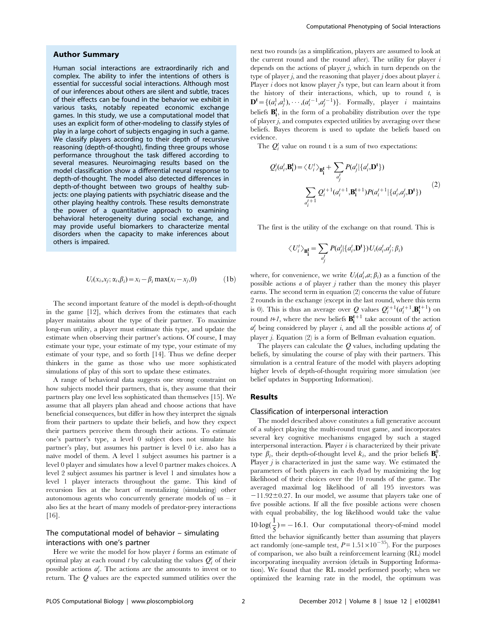#### Author Summary

Human social interactions are extraordinarily rich and complex. The ability to infer the intentions of others is essential for successful social interactions. Although most of our inferences about others are silent and subtle, traces of their effects can be found in the behavior we exhibit in various tasks, notably repeated economic exchange games. In this study, we use a computational model that uses an explicit form of other-modeling to classify styles of play in a large cohort of subjects engaging in such a game. We classify players according to their depth of recursive reasoning (depth-of-thought), finding three groups whose performance throughout the task differed according to several measures. Neuroimaging results based on the model classification show a differential neural response to depth-of-thought. The model also detected differences in depth-of-thought between two groups of healthy subjects: one playing patients with psychiatric disease and the other playing healthy controls. These results demonstrate the power of a quantitative approach to examining behavioral heterogeneity during social exchange, and may provide useful biomarkers to characterize mental disorders when the capacity to make inferences about others is impaired.

$$
U_i(x_i, x_j; \alpha_i, \beta_i) = x_i - \beta_i \max(x_i - x_j, 0)
$$
 (1b)

The second important feature of the model is depth-of-thought in the game [12], which derives from the estimates that each player maintains about the type of their partner. To maximize long-run utility, a player must estimate this type, and update the estimate when observing their partner's actions. Of course, I may estimate your type, your estimate of my type, your estimate of my estimate of your type, and so forth [14]. Thus we define deeper thinkers in the game as those who use more sophisticated simulations of play of this sort to update these estimates.

A range of behavioral data suggests one strong constraint on how subjects model their partners, that is, they assume that their partners play one level less sophisticated than themselves [15]. We assume that all players plan ahead and choose actions that have beneficial consequences, but differ in how they interpret the signals from their partners to update their beliefs, and how they expect their partners perceive them through their actions. To estimate one's partner's type, a level 0 subject does not simulate his partner's play, but assumes his partner is level 0 i.e. also has a naïve model of them. A level 1 subject assumes his partner is a level 0 player and simulates how a level 0 partner makes choices. A level 2 subject assumes his partner is level 1 and simulates how a level 1 player interacts throughout the game. This kind of recursion lies at the heart of mentalizing (simulating) other autonomous agents who concurrently generate models of  $us - it$ also lies at the heart of many models of predator-prey interactions [16].

## The computational model of behavior – simulating interactions with one's partner

Here we write the model for how player  $i$  forms an estimate of optimal play at each round *t* by calculating the values  $Q_i^t$  of their possible actions  $a_i^t$ . The actions are the amounts to invest or to return. The Q values are the expected summed utilities over the

next two rounds (as a simplification, players are assumed to look at the current round and the round after). The utility for player  $i$ depends on the actions of player  $j$ , which in turn depends on the type of player  $j$ , and the reasoning that player  $j$  does about player  $i$ . Player  $i$  does not know player  $j$ 's type, but can learn about it from the history of their interactions, which, up to round  $t$ , is  $\mathbf{D}^t = \{ (a_i^1, a_j^1), \cdots, (a_i^{t-1}, a_j^{t-1}) \}.$  Formally, player *i* maintains beliefs  $B_i^t$ , in the form of a probability distribution over the type of player  $j$ , and computes expected utilities by averaging over these beliefs. Bayes theorem is used to update the beliefs based on evidence.

The  $Q_i^t$  value on round t is a sum of two expectations:

$$
Q_i^t(a_i^t, \mathbf{B}_i^t) = \langle U_i^t \rangle_{\mathbf{B}_i^t} + \sum_{a_j^t} P(a_j^t | \{a_i^t, \mathbf{D}^t\})
$$
  

$$
\sum_{a_i^{t+1}} Q_i^{t+1}(a_i^{t+1}, \mathbf{B}_i^{t+1}) P(a_i^{t+1} | \{a_i^t, a_j^t, \mathbf{D}^t\})
$$
 (2)

The first is the utility of the exchange on that round. This is

$$
\langle U_i^t \rangle_{\mathbf{B_i^t}} = \sum_{a_j^t} P(a_j^t | \{a_i^t, \mathbf{D^t}\}) U_i(a_i^t, a_j^t; \beta_i)
$$

where, for convenience, we write  $U_i(a_i^t, a; \beta_i)$  as a function of the possible actions  $\alpha$  of player  $j$  rather than the money this player earns. The second term in equation (2) concerns the value of future 2 rounds in the exchange (except in the last round, where this term is 0). This is thus an average over Q values  $Q_i^{t+1}(a_i^{t+1}, \mathbf{B_i^{t+1}})$  on round  $t+1$ , where the new beliefs  $\mathbf{B}_{i}^{t+1}$  take account of the action  $a_i^t$  being considered by player *i*, and all the possible actions  $a_j^t$  of player j. Equation (2) is a form of Bellman evaluation equation.

The players can calculate the  $Q$  values, including updating the beliefs, by simulating the course of play with their partners. This simulation is a central feature of the model with players adopting higher levels of depth-of-thought requiring more simulation (see belief updates in Supporting Information).

## Results

#### Classification of interpersonal interaction

The model described above constitutes a full generative account of a subject playing the multi-round trust game, and incorporates several key cognitive mechanisms engaged by such a staged interpersonal interaction. Player  $i$  is characterized by their private type  $\beta_i$ , their depth-of-thought level  $k_i$ , and the prior beliefs  $\mathbf{B}_i^0$ . Player  $j$  is characterized in just the same way. We estimated the parameters of both players in each dyad by maximizing the log likelihood of their choices over the 10 rounds of the game. The averaged maximal log likelihood of all 195 investors was  $-11.92\pm0.27$ . In our model, we assume that players take one of five possible actions. If all the five possible actions were chosen with equal probability, the log likelihood would take the value  $10 \cdot \log(\frac{1}{5}) = -16.1$ . Our computational theory-of-mind model fitted the behavior significantly better than assuming that players act randomly (one-sample test,  $P = 1.51 \times 10^{-35}$ ). For the purposes of comparison, we also built a reinforcement learning (RL) model incorporating inequality aversion (details in Supporting Informa-

tion). We found that the RL model performed poorly; when we optimized the learning rate in the model, the optimum was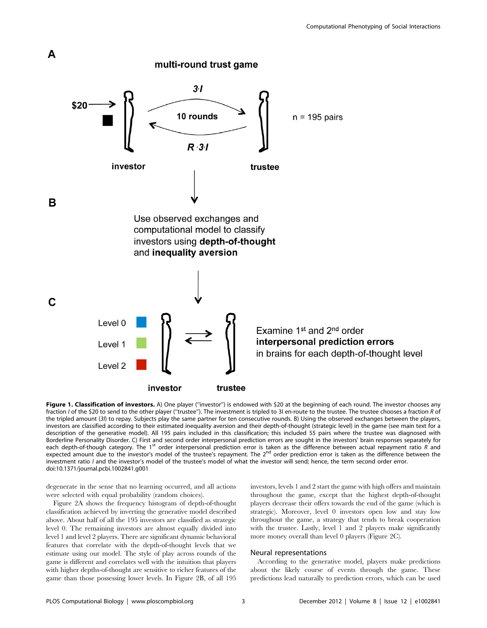

Figure 1. Classification of investors. A) One player ("investor") is endowed with \$20 at the beginning of each round. The investor chooses any fraction I of the \$20 to send to the other player ("trustee"). The investment is tripled to 3I en-route to the trustee. The trustee chooses a fraction R of the tripled amount (3I) to repay. Subjects play the same partner for ten consecutive rounds. B) Using the observed exchanges between the players, investors are classified according to their estimated inequality aversion and their depth-of-thought (strategic level) in the game (see main text for a description of the generative model). All 195 pairs included in this classification; this included 55 pairs where the trustee was diagnosed with Borderline Personality Disorder. C) First and second order interpersonal prediction errors are sought in the investors' brain responses separately for each depth-of-though category. The 1<sup>st</sup> order interpersonal prediction error is taken as the difference between actual repayment ratio R and expected amount due to the investor's model of the trustee's repayment. The 2<sup>nd</sup> order prediction error is taken as the difference between the investment ratio I and the investor's model of the trustee's model of what the investor will send; hence, the term second order error. doi:10.1371/journal.pcbi.1002841.g001

degenerate in the sense that no learning occurred, and all actions were selected with equal probability (random choices).

Figure 2A shows the frequency histogram of depth-of-thought classification achieved by inverting the generative model described above. About half of all the 195 investors are classified as strategic level 0. The remaining investors are almost equally divided into level 1 and level 2 players. There are significant dynamic behavioral features that correlate with the depth-of-thought levels that we estimate using our model. The style of play across rounds of the game is different and correlates well with the intuition that players with higher depths-of-thought are sensitive to richer features of the game than those possessing lower levels. In Figure 2B, of all 195

investors, levels 1 and 2 start the game with high offers and maintain throughout the game, except that the highest depth-of-thought players decrease their offers towards the end of the game (which is strategic). Moreover, level 0 investors open low and stay low throughout the game, a strategy that tends to break cooperation with the trustee. Lastly, level 1 and 2 players make significantly more money overall than level 0 players (Figure 2C).

#### Neural representations

According to the generative model, players make predictions about the likely course of events through the game. These predictions lead naturally to prediction errors, which can be used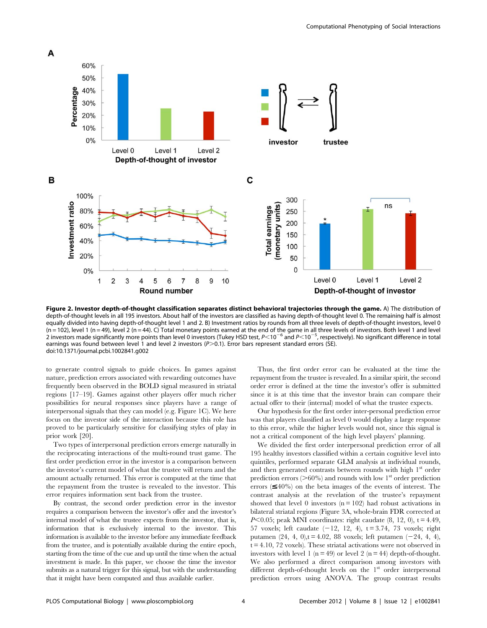

Figure 2. Investor depth-of-thought classification separates distinct behavioral trajectories through the game. A) The distribution of depth-of-thought levels in all 195 investors. About half of the investors are classified as having depth-of-thought level 0. The remaining half is almost equally divided into having depth-of-thought level 1 and 2. B) Investment ratios by rounds from all three levels of depth-of-thought investors, level 0  $(n = 102)$ , level 1  $(n = 49)$ , level 2  $(n = 44)$ . C) Total monetary points earned at the end of the game in all three levels of investors. Both level 1 and level 2 investors made significantly more points than level 0 investors (Tukey HSD test,  $P<$ 10<sup>-6</sup> and  $P<$ 10<sup>-5</sup>, respectively). No significant difference in total earnings was found between level 1 and level 2 investors ( $P>0.1$ ). Error bars represent standard errors (SE). doi:10.1371/journal.pcbi.1002841.g002

to generate control signals to guide choices. In games against nature, prediction errors associated with rewarding outcomes have frequently been observed in the BOLD signal measured in striatal regions [17–19]. Games against other players offer much richer possibilities for neural responses since players have a range of interpersonal signals that they can model (e.g. Figure 1C). We here focus on the investor side of the interaction because this role has proved to be particularly sensitive for classifying styles of play in prior work [20].

Two types of interpersonal prediction errors emerge naturally in the reciprocating interactions of the multi-round trust game. The first order prediction error in the investor is a comparison between the investor's current model of what the trustee will return and the amount actually returned. This error is computed at the time that the repayment from the trustee is revealed to the investor. This error requires information sent back from the trustee.

By contrast, the second order prediction error in the investor requires a comparison between the investor's offer and the investor's internal model of what the trustee expects from the investor, that is, information that is exclusively internal to the investor. This information is available to the investor before any immediate feedback from the trustee, and is potentially available during the entire epoch, starting from the time of the cue and up until the time when the actual investment is made. In this paper, we choose the time the investor submits as a natural trigger for this signal, but with the understanding that it might have been computed and thus available earlier.

Thus, the first order error can be evaluated at the time the repayment from the trustee is revealed. In a similar spirit, the second order error is defined at the time the investor's offer is submitted since it is at this time that the investor brain can compare their actual offer to their (internal) model of what the trustee expects.

Our hypothesis for the first order inter-personal prediction error was that players classified as level 0 would display a large response to this error, while the higher levels would not, since this signal is not a critical component of the high level players' planning.

We divided the first order interpersonal prediction error of all 195 healthy investors classified within a certain cognitive level into quintiles, performed separate GLM analysis at individual rounds, and then generated contrasts between rounds with high 1<sup>st</sup> order prediction errors ( $>60\%$ ) and rounds with low 1<sup>st</sup> order prediction errors  $(\leq 40\%)$  on the beta images of the events of interest. The contrast analysis at the revelation of the trustee's repayment showed that level 0 investors  $(n = 102)$  had robust activations in bilateral striatal regions (Figure 3A, whole-brain FDR corrected at  $P<0.05$ ; peak MNI coordinates: right caudate  $(8, 12, 0)$ , t = 4.49, 57 voxels; left caudate  $(-12, 12, 4)$ ,  $t = 3.74, 73$  voxels; right putamen (24, 4, 0),t = 4.02, 88 voxels; left putamen (-24, 4, 4),  $t = 4.10$ , 72 voxels). These striatal activations were not observed in investors with level 1 ( $n = 49$ ) or level 2 ( $n = 44$ ) depth-of-thought. We also performed a direct comparison among investors with different depth-of-thought levels on the  $1<sup>st</sup>$  order interpersonal prediction errors using ANOVA. The group contrast results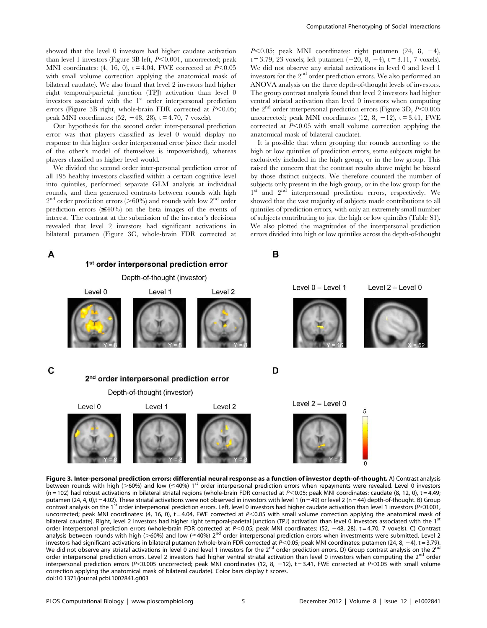showed that the level 0 investors had higher caudate activation than level 1 investors (Figure 3B left,  $P<0.001$ , uncorrected; peak MNI coordinates: (4, 16, 0),  $t = 4.04$ , FWE corrected at  $P<0.05$ with small volume correction applying the anatomical mask of bilateral caudate). We also found that level 2 investors had higher right temporal-parietal junction (TPJ) activation than level 0 investors associated with the  $1<sup>st</sup>$  order interpersonal prediction errors (Figure 3B right, whole-brain FDR corrected at  $P<0.05$ ; peak MNI coordinates:  $(52, -48, 28)$ ,  $t = 4.70, 7$  voxels).

Our hypothesis for the second order inter-personal prediction error was that players classified as level 0 would display no response to this higher order interpersonal error (since their model of the other's model of themselves is impoverished), whereas players classified as higher level would.

We divided the second order inter-personal prediction error of all 195 healthy investors classified within a certain cognitive level into quintiles, performed separate GLM analysis at individual rounds, and then generated contrasts between rounds with high  $2<sup>nd</sup>$  order prediction errors ( $> 60\%$ ) and rounds with low  $2<sup>nd</sup>$  order prediction errors  $(\leq 40\%)$  on the beta images of the events of interest. The contrast at the submission of the investor's decisions revealed that level 2 investors had significant activations in bilateral putamen (Figure 3C, whole-brain FDR corrected at

 $P<0.05$ ; peak MNI coordinates: right putamen (24, 8, -4),  $t = 3.79, 23$  voxels; left putamen  $(-20, 8, -4)$ ,  $t = 3.11, 7$  voxels). We did not observe any striatal activations in level 0 and level 1 investors for the 2nd order prediction errors. We also performed an ANOVA analysis on the three depth-of-thought levels of investors. The group contrast analysis found that level 2 investors had higher ventral striatal activation than level 0 investors when computing the  $2<sup>nd</sup>$  order interpersonal prediction errors (Figure 3D,  $P<0.005$ ) uncorrected; peak MNI coordinates  $(12, 8, -12)$ ,  $t = 3.41$ , FWE corrected at  $P<0.05$  with small volume correction applying the anatomical mask of bilateral caudate).

It is possible that when grouping the rounds according to the high or low quintiles of prediction errors, some subjects might be exclusively included in the high group, or in the low group. This raised the concern that the contrast results above might be biased by those distinct subjects. We therefore counted the number of subjects only present in the high group, or in the low group for the  $1<sup>st</sup>$  and  $2<sup>nd</sup>$  interpersonal prediction errors, respectively. We showed that the vast majority of subjects made contributions to all quintiles of prediction errors, with only an extremely small number of subjects contributing to just the high or low quintiles (Table S1). We also plotted the magnitudes of the interpersonal prediction errors divided into high or low quintiles across the depth-of-thought



Figure 3. Inter-personal prediction errors: differential neural response as a function of investor depth-of-thought. A) Contrast analysis between rounds with high (>60%) and low ( $\leq 40$ %) 1<sup>st</sup> order interpersonal prediction errors when repayments were revealed. Level 0 investors  $(n = 102)$  had robust activations in bilateral striatal regions (whole-brain FDR corrected at  $P < 0.05$ ; peak MNI coordinates: caudate (8, 12, 0), t = 4.49; putamen (24, 4, 0),t = 4.02). These striatal activations were not observed in investors with level 1 (n = 49) or level 2 (n = 44) depth-of-thought. B) Group contrast analysis on the 1<sup>st</sup> order interpersonal prediction errors. Left, level 0 investors had higher caudate activation than level 1 investors (P<0.001, uncorrected; peak MNI coordinates: (4, 16, 0), t = 4.04, FWE corrected at  $P<0.05$  with small volume correction applying the anatomical mask of bilateral caudate). Right, level 2 investors had higher right temporal-parietal junction (TPJ) activation than level 0 investors associated with the 1<sup>st</sup> order interpersonal prediction errors (whole-brain FDR corrected at P<0.05; peak MNI coordinates: (52, -48, 28), t = 4.70, 7 voxels). C) Contrast analysis between rounds with high (>60%) and low ( $\leq$ 40%) 2<sup>nd</sup> order interpersonal prediction errors when investments were submitted. Level 2 investors had significant activations in bilateral putamen (whole-brain FDR corrected at P<0.05; peak MNI coordinates: putamen (24, 8, -4), t = 3.79). We did not observe any striatal activations in level 0 and level 1 investors for the 2<sup>nd</sup> order prediction errors. D) Group contrast analysis on the 2<sup>nd</sup> order interpersonal prediction errors. Level 2 investors had higher ventral striatal activation than level 0 investors when computing the 2<sup>nd</sup> order interpersonal prediction errors (P<0.005 uncorrected; peak MNI coordinates (12, 8, -12), t = 3.41, FWE corrected at P<0.05 with small volume correction applying the anatomical mask of bilateral caudate). Color bars display t scores. doi:10.1371/journal.pcbi.1002841.g003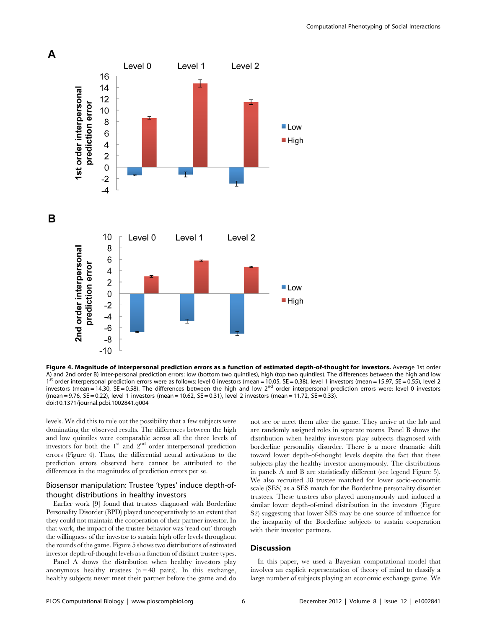

Figure 4. Magnitude of interpersonal prediction errors as a function of estimated depth-of-thought for investors. Average 1st order A) and 2nd order B) inter-personal prediction errors: low (bottom two quintiles), high (top two quintiles). The differences between the high and low  $1<sup>st</sup>$  order interpersonal prediction errors were as follows: level 0 investors (mean = 10.05, SE = 0.38), level 1 investors (mean = 15.97, SE = 0.55), level 2 investors (mean = 14.30, SE = 0.58). The differences between the high and low 2<sup>nd</sup> order interpersonal prediction errors were: level 0 investors  $(mean = 9.76, SE = 0.22)$ , level 1 investors (mean = 10.62, SE = 0.31), level 2 investors (mean = 11.72, SE = 0.33). doi:10.1371/journal.pcbi.1002841.g004

levels. We did this to rule out the possibility that a few subjects were dominating the observed results. The differences between the high and low quintiles were comparable across all the three levels of investors for both the 1st and 2nd order interpersonal prediction errors (Figure 4). Thus, the differential neural activations to the prediction errors observed here cannot be attributed to the differences in the magnitudes of prediction errors per se.

## Biosensor manipulation: Trustee 'types' induce depth-ofthought distributions in healthy investors

Earlier work [9] found that trustees diagnosed with Borderline Personality Disorder (BPD) played uncooperatively to an extent that they could not maintain the cooperation of their partner investor. In that work, the impact of the trustee behavior was 'read out' through the willingness of the investor to sustain high offer levels throughout the rounds of the game. Figure 5 shows two distributions of estimated investor depth-of-thought levels as a function of distinct trustee types.

Panel A shows the distribution when healthy investors play anonymous healthy trustees  $(n = 48 \text{ pairs})$ . In this exchange, healthy subjects never meet their partner before the game and do not see or meet them after the game. They arrive at the lab and are randomly assigned roles in separate rooms. Panel B shows the distribution when healthy investors play subjects diagnosed with borderline personality disorder. There is a more dramatic shift toward lower depth-of-thought levels despite the fact that these subjects play the healthy investor anonymously. The distributions in panels A and B are statistically different (see legend Figure 5). We also recruited 38 trustee matched for lower socio-economic scale (SES) as a SES match for the Borderline personality disorder trustees. These trustees also played anonymously and induced a similar lower depth-of-mind distribution in the investors (Figure S2) suggesting that lower SES may be one source of influence for the incapacity of the Borderline subjects to sustain cooperation with their investor partners.

## **Discussion**

In this paper, we used a Bayesian computational model that involves an explicit representation of theory of mind to classify a large number of subjects playing an economic exchange game. We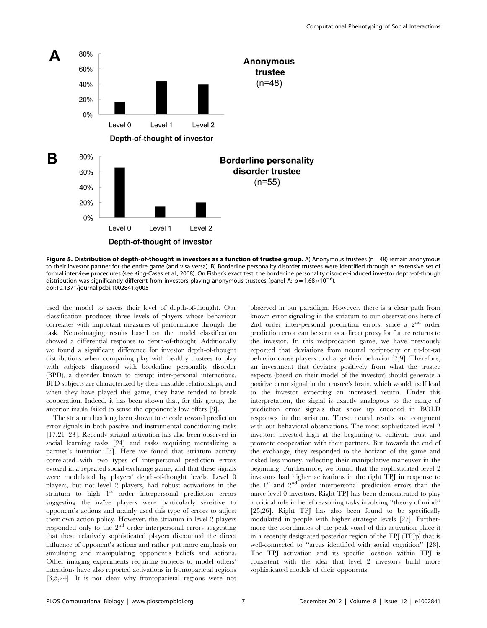

Figure 5. Distribution of depth-of-thought in investors as a function of trustee group. A) Anonymous trustees ( $n = 48$ ) remain anonymous to their investor partner for the entire game (and visa versa). B) Borderline personality disorder trustees were identified through an extensive set of formal interview procedures (see King-Casas et al., 2008). On Fisher's exact test, the borderline personality disorder-induced investor depth-of-though distribution was significantly different from investors playing anonymous trustees (panel A;  $p = 1.68 \times 10^{-6}$ ). doi:10.1371/journal.pcbi.1002841.g005

used the model to assess their level of depth-of-thought. Our classification produces three levels of players whose behaviour correlates with important measures of performance through the task. Neuroimaging results based on the model classification showed a differential response to depth-of-thought. Additionally we found a significant difference for investor depth-of-thought distributions when comparing play with healthy trustees to play with subjects diagnosed with borderline personality disorder (BPD), a disorder known to disrupt inter-personal interactions. BPD subjects are characterized by their unstable relationships, and when they have played this game, they have tended to break cooperation. Indeed, it has been shown that, for this group, the anterior insula failed to sense the opponent's low offers [8].

The striatum has long been shown to encode reward prediction error signals in both passive and instrumental conditioning tasks [17,21–23]. Recently striatal activation has also been observed in social learning tasks [24] and tasks requiring mentalizing a partner's intention [3]. Here we found that striatum activity correlated with two types of interpersonal prediction errors evoked in a repeated social exchange game, and that these signals were modulated by players' depth-of-thought levels. Level 0 players, but not level 2 players, had robust activations in the striatum to high 1<sup>st</sup> order interpersonal prediction errors suggesting the naïve players were particularly sensitive to opponent's actions and mainly used this type of errors to adjust their own action policy. However, the striatum in level 2 players responded only to the  $2<sup>nd</sup>$  order interpersonal errors suggesting that these relatively sophisticated players discounted the direct influence of opponent's actions and rather put more emphasis on simulating and manipulating opponent's beliefs and actions. Other imaging experiments requiring subjects to model others' intentions have also reported activations in frontoparietal regions [3,5,24]. It is not clear why frontoparietal regions were not observed in our paradigm. However, there is a clear path from known error signaling in the striatum to our observations here of 2nd order inter-personal prediction errors, since a 2<sup>nd</sup> order prediction error can be seen as a direct proxy for future returns to the investor. In this reciprocation game, we have previously reported that deviations from neutral reciprocity or tit-for-tat behavior cause players to change their behavior [7,9]. Therefore, an investment that deviates positively from what the trustee expects (based on their model of the investor) should generate a positive error signal in the trustee's brain, which would itself lead to the investor expecting an increased return. Under this interpretation, the signal is exactly analogous to the range of prediction error signals that show up encoded in BOLD responses in the striatum. These neural results are congruent with our behavioral observations. The most sophisticated level 2 investors invested high at the beginning to cultivate trust and promote cooperation with their partners. But towards the end of the exchange, they responded to the horizon of the game and risked less money, reflecting their manipulative maneuver in the beginning. Furthermore, we found that the sophisticated level 2 investors had higher activations in the right TPJ in response to the  $1<sup>st</sup>$  and  $2<sup>nd</sup>$  order interpersonal prediction errors than the naïve level 0 investors. Right TPJ has been demonstrated to play a critical role in belief reasoning tasks involving ''theory of mind'' [25,26]. Right TPJ has also been found to be specifically modulated in people with higher strategic levels [27]. Furthermore the coordinates of the peak voxel of this activation place it in a recently designated posterior region of the TPJ (TPJp) that is well-connected to "areas identified with social cognition" [28]. The TPJ activation and its specific location within TPJ is consistent with the idea that level 2 investors build more sophisticated models of their opponents.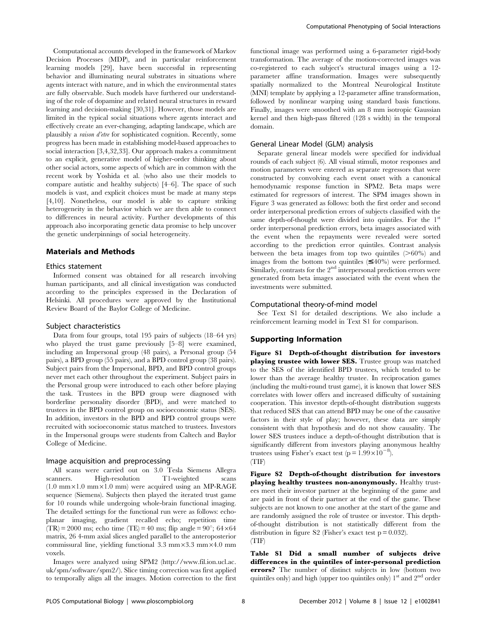Computational accounts developed in the framework of Markov Decision Processes (MDP), and in particular reinforcement learning models [29], have been successful in representing behavior and illuminating neural substrates in situations where agents interact with nature, and in which the environmental states are fully observable. Such models have furthered our understanding of the role of dopamine and related neural structures in reward learning and decision-making [30,31]. However, those models are limited in the typical social situations where agents interact and effectively create an ever-changing, adapting landscape, which are plausibly a raison d'etre for sophisticated cognition. Recently, some progress has been made in establishing model-based approaches to social interaction [3,4,32,33]. Our approach makes a commitment to an explicit, generative model of higher-order thinking about other social actors, some aspects of which are in common with the recent work by Yoshida et al. (who also use their models to compare autistic and healthy subjects) [4–6]. The space of such models is vast, and explicit choices must be made at many steps [4,10]. Nonetheless, our model is able to capture striking heterogeneity in the behavior which we are then able to connect to differences in neural activity. Further developments of this approach also incorporating genetic data promise to help uncover the genetic underpinnings of social heterogeneity.

## Materials and Methods

#### Ethics statement

Informed consent was obtained for all research involving human participants, and all clinical investigation was conducted according to the principles expressed in the Declaration of Helsinki. All procedures were approved by the Institutional Review Board of the Baylor College of Medicine.

#### Subject characteristics

Data from four groups, total 195 pairs of subjects (18–64 yrs) who played the trust game previously [5–8] were examined, including an Impersonal group (48 pairs), a Personal group (54 pairs), a BPD group (55 pairs), and a BPD control group (38 pairs). Subject pairs from the Impersonal, BPD, and BPD control groups never met each other throughout the experiment. Subject pairs in the Personal group were introduced to each other before playing the task. Trustees in the BPD group were diagnosed with borderline personality disorder (BPD), and were matched to trustees in the BPD control group on socioeconomic status (SES). In addition, investors in the BPD and BPD control groups were recruited with socioeconomic status matched to trustees. Investors in the Impersonal groups were students from Caltech and Baylor College of Medicine.

#### Image acquisition and preprocessing

All scans were carried out on 3.0 Tesla Siemens Allegra scanners. High-resolution T1-weighted scans  $(1.0 \text{ mm} \times 1.0 \text{ mm} \times 1.0 \text{ mm})$  were acquired using an MP-RAGE sequence (Siemens). Subjects then played the iterated trust game for 10 rounds while undergoing whole-brain functional imaging. The detailed settings for the functional run were as follows: echoplanar imaging, gradient recalled echo; repetition time  $(TR) = 2000$  ms; echo time  $(TE) = 40$  ms; flip angle = 90°; 64×64 matrix, 26 4-mm axial slices angled parallel to the anteroposterior commissural line, yielding functional  $3.3 \text{ mm} \times 3.3 \text{ mm} \times 4.0 \text{ mm}$ voxels.

Images were analyzed using SPM2 (http://www.fil.ion.ucl.ac. uk/spm/software/spm2/). Slice timing correction was first applied to temporally align all the images. Motion correction to the first functional image was performed using a 6-parameter rigid-body transformation. The average of the motion-corrected images was co-registered to each subject's structural images using a 12 parameter affine transformation. Images were subsequently spatially normalized to the Montreal Neurological Institute (MNI) template by applying a 12-parameter affine transformation, followed by nonlinear warping using standard basis functions. Finally, images were smoothed with an 8 mm isotropic Gaussian kernel and then high-pass filtered (128 s width) in the temporal domain.

#### General Linear Model (GLM) analysis

Separate general linear models were specified for individual rounds of each subject (6). All visual stimuli, motor responses and motion parameters were entered as separate regressors that were constructed by convolving each event onset with a canonical hemodynamic response function in SPM2. Beta maps were estimated for regressors of interest. The SPM images shown in Figure 3 was generated as follows: both the first order and second order interpersonal prediction errors of subjects classified with the same depth-of-thought were divided into quintiles. For the 1<sup>st</sup> order interpersonal prediction errors, beta images associated with the event when the repayments were revealed were sorted according to the prediction error quintiles. Contrast analysis between the beta images from top two quintiles  $(>= 60\%)$  and images from the bottom two quintiles  $(\leq 40\%)$  were performed. Similarly, contrasts for the  $2<sup>nd</sup>$  interpersonal prediction errors were generated from beta images associated with the event when the investments were submitted.

#### Computational theory-of-mind model

See Text S1 for detailed descriptions. We also include a reinforcement learning model in Text S1 for comparison.

## Supporting Information

Figure S1 Depth-of-thought distribution for investors playing trustee with lower SES. Trustee group was matched to the SES of the identified BPD trustees, which tended to be lower than the average healthy trustee. In reciprocation games (including the multi-round trust game), it is known that lower SES correlates with lower offers and increased difficulty of sustaining cooperation. This investor depth-of-thought distribution suggests that reduced SES that can attend BPD may be one of the causative factors in their style of play; however, these data are simply consistent with that hypothesis and do not show causality. The lower SES trustees induce a depth-of-thought distribution that is significantly different from investors playing anonymous healthy trustees using Fisher's exact test ( $p = 1.99 \times 10^{-8}$ ). (TIF)

Figure S2 Depth-of-thought distribution for investors playing healthy trustees non-anonymously. Healthy trustees meet their investor partner at the beginning of the game and are paid in front of their partner at the end of the game. These subjects are not known to one another at the start of the game and are randomly assigned the role of trustee or investor. This depthof-thought distribution is not statistically different from the distribution in figure S2 (Fisher's exact test  $p = 0.032$ ). (TIF)

Table S1 Did a small number of subjects drive differences in the quintiles of inter-personal prediction errors? The number of distinct subjects in low (bottom two quintiles only) and high (upper too quintiles only)  $1<sup>st</sup>$  and  $2<sup>nd</sup>$  order